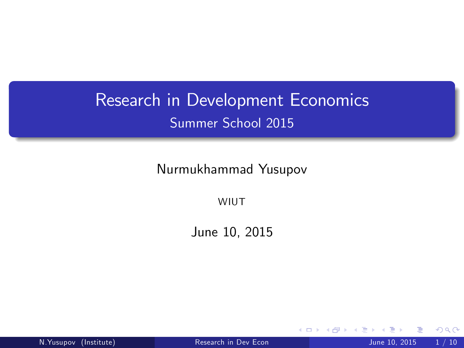## Research in Development Economics Summer School 2015

Nurmukhammad Yusupov

**WIUT** 

June 10, 2015

4 0 8

N.Yusupov (Institute) [Research in Dev Econ](#page-9-0) June 10, 2015 1 / 10

<span id="page-0-0"></span> $299$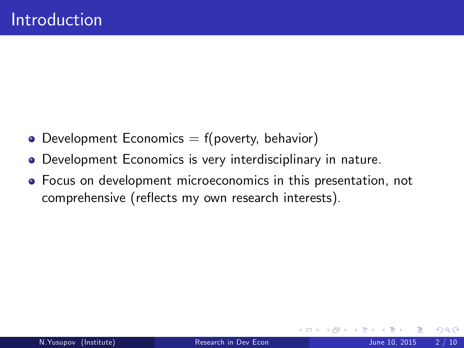- $\bullet$  Development Economics  $=$  f(poverty, behavior)
- Development Economics is very interdisciplinary in nature.
- Focus on development microeconomics in this presentation, not comprehensive (reflects my own research interests).

4 0 8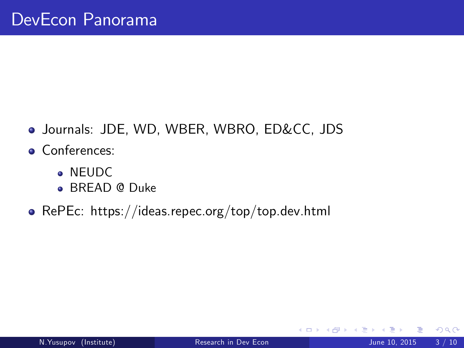- Journals: JDE, WD, WBER, WBRO, ED&CC, JDS
- **Conferences:** 
	- **A** NEUDC
	- **BREAD @ Duke**
- RePEc: https://ideas.repec.org/top/top.dev.html

4 0 8

 $299$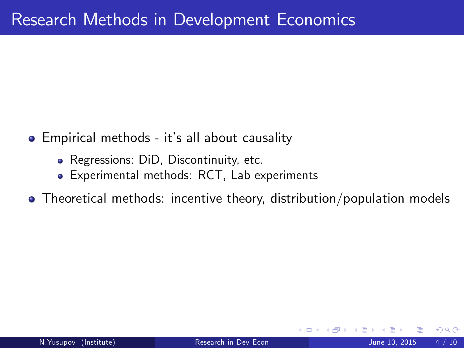- **•** Empirical methods it's all about causality
	- Regressions: DiD, Discontinuity, etc.
	- Experimental methods: RCT, Lab experiments
- Theoretical methods: incentive theory, distribution/population models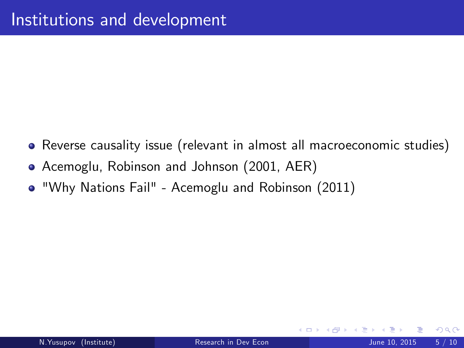- Reverse causality issue (relevant in almost all macroeconomic studies)
- Acemoglu, Robinson and Johnson (2001, AER)
- "Why Nations Fail" Acemoglu and Robinson (2011)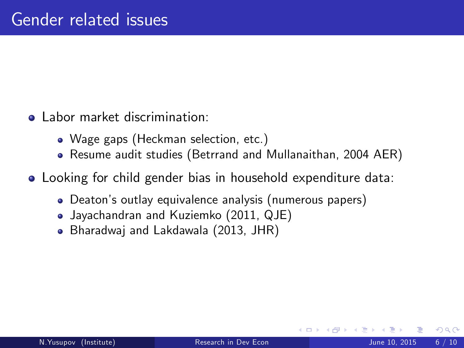- Labor market discrimination:
	- Wage gaps (Heckman selection, etc.)
	- Resume audit studies (Betrrand and Mullanaithan, 2004 AER)
- Looking for child gender bias in household expenditure data:
	- Deatonís outlay equivalence analysis (numerous papers)
	- Jayachandran and Kuziemko (2011, QJE)
	- Bharadwaj and Lakdawala (2013, JHR)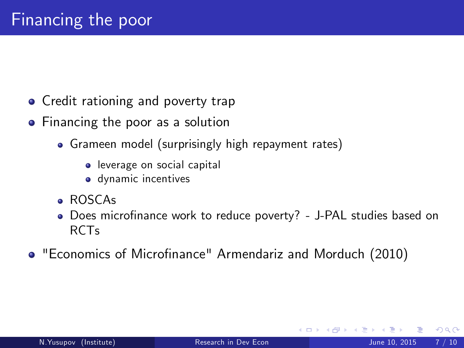- Credit rationing and poverty trap
- Financing the poor as a solution
	- Grameen model (surprisingly high repayment rates)
		- **.** leverage on social capital
		- dynamic incentives
	- ROSCAs
	- Does microfinance work to reduce poverty? J-PAL studies based on RCTs
- "Economics of Microfinance" Armendariz and Morduch (2010)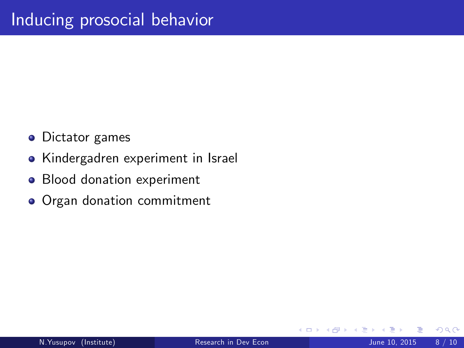- **•** Dictator games
- Kindergadren experiment in Israel
- Blood donation experiment
- Organ donation commitment

 $\leftarrow$ 

 $200$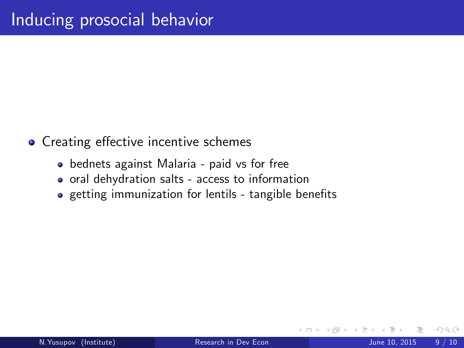- Creating effective incentive schemes
	- bednets against Malaria paid vs for free
	- oral dehydration salts access to information
	- o getting immunization for lentils tangible benefits

 $\leftarrow$